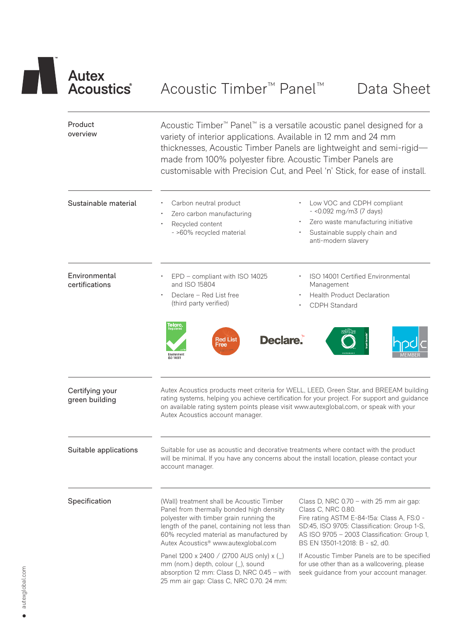# Autex<br>
Acoustics Acoustic Timber<sup>™</sup> Panel™ Data Sheet

| Product<br>overview               | Acoustic Timber <sup>™</sup> Panel <sup>™</sup> is a versatile acoustic panel designed for a<br>variety of interior applications. Available in 12 mm and 24 mm<br>thicknesses, Acoustic Timber Panels are lightweight and semi-rigid-<br>made from 100% polyester fibre. Acoustic Timber Panels are<br>customisable with Precision Cut, and Peel 'n' Stick, for ease of install. |                                                                                                                                                                                                                                                                                  |  |  |  |  |  |
|-----------------------------------|----------------------------------------------------------------------------------------------------------------------------------------------------------------------------------------------------------------------------------------------------------------------------------------------------------------------------------------------------------------------------------|----------------------------------------------------------------------------------------------------------------------------------------------------------------------------------------------------------------------------------------------------------------------------------|--|--|--|--|--|
| Sustainable material              | Carbon neutral product<br>Zero carbon manufacturing<br>Recycled content<br>- >60% recycled material                                                                                                                                                                                                                                                                              | Low VOC and CDPH compliant<br>$-$ <0.092 mg/m3 (7 days)<br>Zero waste manufacturing initiative<br>Sustainable supply chain and<br>anti-modern slavery                                                                                                                            |  |  |  |  |  |
| Environmental<br>certifications   | EPD - compliant with ISO 14025<br>and ISO 15804<br>Declare - Red List free<br>(third party verified)<br>elarc.<br><sup>terristered</sup><br>Declare.<br><b>Red List</b><br>Free<br>Environmen<br>ISO 14001                                                                                                                                                                       | ISO 14001 Certified Environmental<br>Management<br><b>Health Product Declaration</b><br>CDPH Standard                                                                                                                                                                            |  |  |  |  |  |
| Certifying your<br>green building | Autex Acoustics account manager.                                                                                                                                                                                                                                                                                                                                                 | Autex Acoustics products meet criteria for WELL, LEED, Green Star, and BREEAM building<br>rating systems, helping you achieve certification for your project. For support and guidance<br>on available rating system points please visit www.autexglobal.com, or speak with your |  |  |  |  |  |
| Suitable applications             | Suitable for use as acoustic and decorative treatments where contact with the product<br>will be minimal. If you have any concerns about the install location, please contact your<br>account manager.                                                                                                                                                                           |                                                                                                                                                                                                                                                                                  |  |  |  |  |  |
| Specification                     | (Wall) treatment shall be Acoustic Timber<br>Panel from thermally bonded high density<br>polyester with timber grain running the<br>length of the panel, containing not less than<br>60% recycled material as manufactured by<br>Autex Acoustics <sup>®</sup> www.autexglobal.com                                                                                                | Class D, NRC $0.70 -$ with 25 mm air gap:<br>Class C, NRC 0.80.<br>Fire rating ASTM E-84-15a: Class A, FS:0 -<br>SD:45, ISO 9705: Classification: Group 1-S,<br>AS ISO 9705 - 2003 Classification: Group 1,<br>BS EN 13501-1:2018: B - s2, d0.                                   |  |  |  |  |  |
|                                   | Panel 1200 x 2400 / (2700 AUS only) x (_)<br>mm (nom.) depth, colour (_), sound<br>absorption 12 mm: Class D, NRC 0.45 - with<br>25 mm air gap: Class C, NRC 0.70. 24 mm:                                                                                                                                                                                                        | If Acoustic Timber Panels are to be specified<br>for use other than as a wallcovering, please<br>seek guidance from your account manager.                                                                                                                                        |  |  |  |  |  |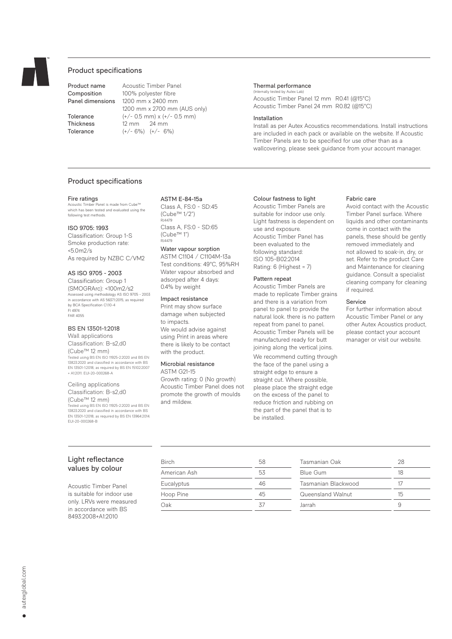

#### Product specifications

Product name Acoustic Timber Panel Composition 100% polyester fibre Panel dimensions 1200 mm x 2400 mm 1200 mm x 2700 mm (AUS only) **Tolerance**  $(+/- 0.5 \text{ mm}) \times (+/- 0.5 \text{ mm})$ Thickness 12 mm 24 mm Tolerance  $(+/- 6%) (+/- 6%)$ 

#### Thermal performance (Internally tested by Autex Lab)

Acoustic Timber Panel 12 mm R0.41 (@15°C) Acoustic Timber Panel 24 mm R0.82 (@15°C)

#### Installation

Install as per Autex Acoustics recommendations. Install instructions are included in each pack or available on the website. If Acoustic Timber Panels are to be specified for use other than as a wallcovering, please seek guidance from your account manager.

#### Product specifications

#### Fire ratings

ic Timber Panel is made from Cube™ which has been tested and evaluated using the following test methods.

#### ISO 9705: 1993

Classification: Group 1-S Smoke production rate: <5.0m2/s As required by NZBC C/VM2

#### AS ISO 9705 - 2003

Classification: Group 1 (SMOGRArc): <100m2/s2 Assessed using methodology AS ISO 9705 - 2003 in accordance with AS 5637.1:2015, as required by BCA Specification C1.10-4 FI 4974 FAR 4055

#### BS EN 13501-1:2018

Wall applications Classification: B-s2,d0 (Cube™ 12 mm) Tested using BS EN ISO 11925-2:2020 and BS EN 13823:2020 and classified in accordance with BS EN 13501-1:2018, as required by BS EN 15102:2007 + A1:2011. EUI-20-000268-A

Ceiling applications Classification: B-s2,d0 (Cube™ 12 mm) Tested using BS EN ISO 11925-2:2020 and BS EN 13823:2020 and classified in accordance with BS EN 13501-1:2018, as required by BS EN 13964:2014. EUI-20-000268-B

#### ASTM E-84-15a

Class A, FS:0 - SD:45 (Cube™ 1/2") RJ4479 Class A, FS:0 - SD:65 (Cube™ 1") RJ4479

#### Water vapour sorption

ASTM C1104 / C1104M-13a Test conditions: 49°C, 95%RH Water vapour absorbed and adsorped after 4 days: 0.4% by weight

#### Impact resistance

Print may show surface damage when subjected to impacts. We would advise against using Print in areas where there is likely to be contact with the product.

#### Microbial resistance

ASTM G21-15 Growth rating: 0 (No growth) Acoustic Timber Panel does not promote the growth of moulds and mildew.

#### Colour fastness to light

Acoustic Timber Panels are suitable for indoor use only. Light fastness is dependent on use and exposure. Acoustic Timber Panel has been evaluated to the following standard: ISO 105-B02:2014 Rating: 6 (Highest = 7)

#### Pattern repeat

Acoustic Timber Panels are made to replicate Timber grains and there is a variation from panel to panel to provide the natural look. there is no pattern repeat from panel to panel. Acoustic Timber Panels will be manufactured ready for butt joining along the vertical joins.

We recommend cutting through the face of the panel using a straight edge to ensure a straight cut. Where possible. please place the straight edge on the excess of the panel to reduce friction and rubbing on the part of the panel that is to be installed.

#### Fabric care

Avoid contact with the Acoustic Timber Panel surface. Where liquids and other contaminants come in contact with the panels, these should be gently removed immediately and not allowed to soak-in, dry, or set. Refer to the product Care and Maintenance for cleaning guidance. Consult a specialist cleaning company for cleaning if required.

#### Service

For further information about Acoustic Timber Panel or any other Autex Acoustics product, please contact your account manager or visit our website.

### Light reflectance values by colour

Acoustic Timber Panel is suitable for indoor use only. LRVs were measured in accordance with BS 8493:2008+A1:2010

| <b>Birch</b> | 58 |
|--------------|----|
| American Ash | 53 |
| Eucalyptus   | 46 |
| Hoop Pine    | 45 |
| Oak          | 37 |

| Tasmanian Oak       | 28 |
|---------------------|----|
| <b>Blue Gum</b>     | 18 |
| Tasmanian Blackwood | 17 |
| Queensland Walnut   | 15 |
| Jarrah              |    |
|                     |    |